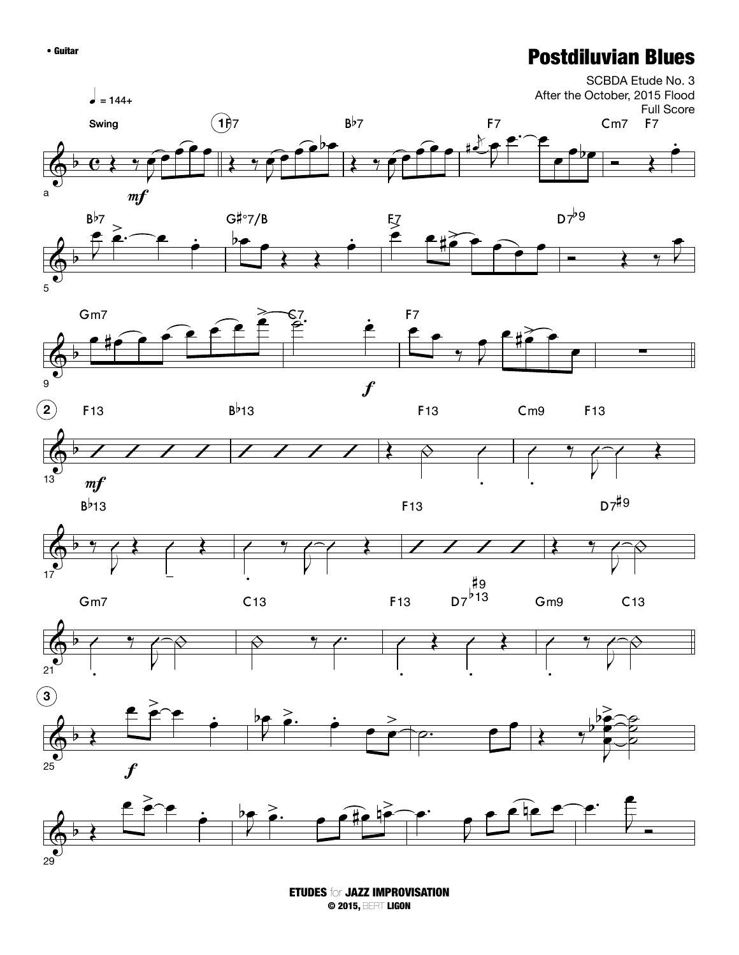## • Guitar **Postdiluvian Blues**



ETUDES for JAZZ IMPROVISATION © 2015, BERT LIGON